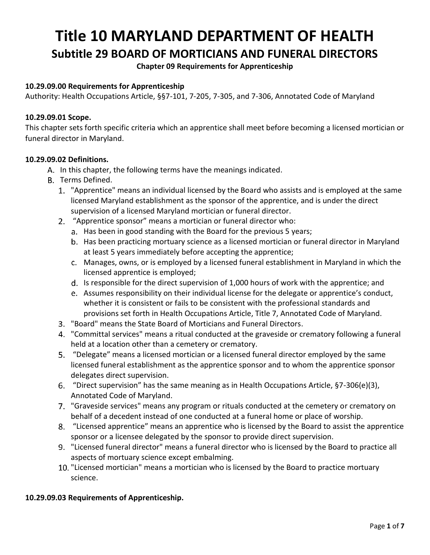# **Title 10 MARYLAND DEPARTMENT OF HEALTH Subtitle 29 BOARD OF MORTICIANS AND FUNERAL DIRECTORS**

## **Chapter 09 Requirements for Apprenticeship**

## **10.29.09.00 Requirements for Apprenticeship**

Authority: Health Occupations Article, §§7-101, 7-205, 7-305, and 7-306, Annotated Code of Maryland

#### **10.29.09.01 Scope.**

This chapter sets forth specific criteria which an apprentice shall meet before becoming a licensed mortician or funeral director in Maryland.

#### **10.29.09.02 Definitions.**

- A. In this chapter, the following terms have the meanings indicated.
- B. Terms Defined.
	- "Apprentice" means an individual licensed by the Board who assists and is employed at the same licensed Maryland establishment as the sponsor of the apprentice, and is under the direct supervision of a licensed Maryland mortician or funeral director.
	- "Apprentice sponsor" means a mortician or funeral director who:
		- a. Has been in good standing with the Board for the previous 5 years;
		- b. Has been practicing mortuary science as a licensed mortician or funeral director in Maryland at least 5 years immediately before accepting the apprentice;
		- Manages, owns, or is employed by a licensed funeral establishment in Maryland in which the licensed apprentice is employed;
		- d. Is responsible for the direct supervision of 1,000 hours of work with the apprentice; and
		- Assumes responsibility on their individual license for the delegate or apprentice's conduct, whether it is consistent or fails to be consistent with the professional standards and provisions set forth in Health Occupations Article, Title 7, Annotated Code of Maryland.
	- "Board" means the State Board of Morticians and Funeral Directors.
	- "Committal services" means a ritual conducted at the graveside or crematory following a funeral held at a location other than a cemetery or crematory.
	- "Delegate" means a licensed mortician or a licensed funeral director employed by the same licensed funeral establishment as the apprentice sponsor and to whom the apprentice sponsor delegates direct supervision.
	- "Direct supervision" has the same meaning as in Health Occupations Article, §7-306(e)(3), Annotated Code of Maryland.
	- "Graveside services" means any program or rituals conducted at the cemetery or crematory on behalf of a decedent instead of one conducted at a funeral home or place of worship.
	- "Licensed apprentice" means an apprentice who is licensed by the Board to assist the apprentice sponsor or a licensee delegated by the sponsor to provide direct supervision.
	- "Licensed funeral director" means a funeral director who is licensed by the Board to practice all aspects of mortuary science except embalming.
	- 10. "Licensed mortician" means a mortician who is licensed by the Board to practice mortuary science.

#### **10.29.09.03 Requirements of Apprenticeship.**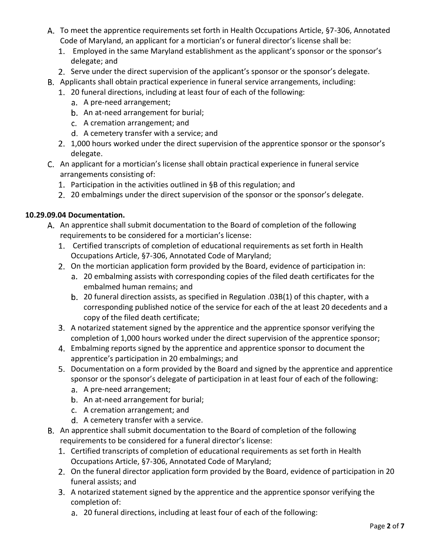- A. To meet the apprentice requirements set forth in Health Occupations Article, §7-306, Annotated Code of Maryland, an applicant for a mortician's or funeral director's license shall be:
	- Employed in the same Maryland establishment as the applicant's sponsor or the sponsor's delegate; and
	- 2. Serve under the direct supervision of the applicant's sponsor or the sponsor's delegate.
- Applicants shall obtain practical experience in funeral service arrangements, including:
	- 20 funeral directions, including at least four of each of the following:
		- a. A pre-need arrangement;
		- b. An at-need arrangement for burial;
		- A cremation arrangement; and
		- A cemetery transfer with a service; and
	- 1,000 hours worked under the direct supervision of the apprentice sponsor or the sponsor's delegate.
- An applicant for a mortician's license shall obtain practical experience in funeral service arrangements consisting of:
	- Participation in the activities outlined in §B of this regulation; and
	- 2. 20 embalmings under the direct supervision of the sponsor or the sponsor's delegate.

# **10.29.09.04 Documentation.**

- An apprentice shall submit documentation to the Board of completion of the following requirements to be considered for a mortician's license:
	- Certified transcripts of completion of educational requirements as set forth in Health Occupations Article, §7-306, Annotated Code of Maryland;
	- On the mortician application form provided by the Board, evidence of participation in:
		- 20 embalming assists with corresponding copies of the filed death certificates for the embalmed human remains; and
		- 20 funeral direction assists, as specified in Regulation .03B(1) of this chapter, with a corresponding published notice of the service for each of the at least 20 decedents and a copy of the filed death certificate;
	- A notarized statement signed by the apprentice and the apprentice sponsor verifying the completion of 1,000 hours worked under the direct supervision of the apprentice sponsor;
	- Embalming reports signed by the apprentice and apprentice sponsor to document the apprentice's participation in 20 embalmings; and
	- Documentation on a form provided by the Board and signed by the apprentice and apprentice sponsor or the sponsor's delegate of participation in at least four of each of the following:
		- a. A pre-need arrangement;
		- b. An at-need arrangement for burial;
		- A cremation arrangement; and
		- d. A cemetery transfer with a service.
- B. An apprentice shall submit documentation to the Board of completion of the following requirements to be considered for a funeral director's license:
	- Certified transcripts of completion of educational requirements as set forth in Health Occupations Article, §7-306, Annotated Code of Maryland;
	- On the funeral director application form provided by the Board, evidence of participation in 20 funeral assists; and
	- A notarized statement signed by the apprentice and the apprentice sponsor verifying the completion of:
		- 20 funeral directions, including at least four of each of the following: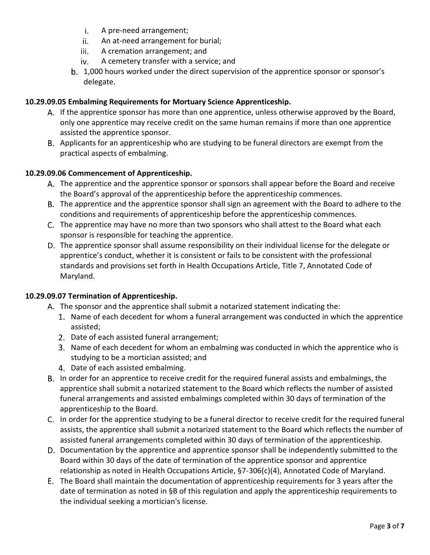- A pre-need arrangement; i.
- An at-need arrangement for burial; ii.
- iii. A cremation arrangement; and
- iv. A cemetery transfer with a service; and
- b. 1,000 hours worked under the direct supervision of the apprentice sponsor or sponsor's delegate.

# **10.29.09.05 Embalming Requirements for Mortuary Science Apprenticeship.**

- A. If the apprentice sponsor has more than one apprentice, unless otherwise approved by the Board, only one apprentice may receive credit on the same human remains if more than one apprentice assisted the apprentice sponsor.
- B. Applicants for an apprenticeship who are studying to be funeral directors are exempt from the practical aspects of embalming.

# **10.29.09.06 Commencement of Apprenticeship.**

- The apprentice and the apprentice sponsor or sponsors shall appear before the Board and receive the Board's approval of the apprenticeship before the apprenticeship commences.
- The apprentice and the apprentice sponsor shall sign an agreement with the Board to adhere to the conditions and requirements of apprenticeship before the apprenticeship commences.
- The apprentice may have no more than two sponsors who shall attest to the Board what each sponsor is responsible for teaching the apprentice.
- The apprentice sponsor shall assume responsibility on their individual license for the delegate or apprentice's conduct, whether it is consistent or fails to be consistent with the professional standards and provisions set forth in Health Occupations Article, Title 7, Annotated Code of Maryland.

### **10.29.09.07 Termination of Apprenticeship.**

- A. The sponsor and the apprentice shall submit a notarized statement indicating the:
	- 1. Name of each decedent for whom a funeral arrangement was conducted in which the apprentice assisted;
	- 2. Date of each assisted funeral arrangement;
	- 3. Name of each decedent for whom an embalming was conducted in which the apprentice who is studying to be a mortician assisted; and
	- 4. Date of each assisted embalming.
- B. In order for an apprentice to receive credit for the required funeral assists and embalmings, the apprentice shall submit a notarized statement to the Board which reflects the number of assisted funeral arrangements and assisted embalmings completed within 30 days of termination of the apprenticeship to the Board.
- C. In order for the apprentice studying to be a funeral director to receive credit for the required funeral assists, the apprentice shall submit a notarized statement to the Board which reflects the number of assisted funeral arrangements completed within 30 days of termination of the apprenticeship.
- D. Documentation by the apprentice and apprentice sponsor shall be independently submitted to the Board within 30 days of the date of termination of the apprentice sponsor and apprentice relationship as noted in Health Occupations Article, §7-306(c)(4), Annotated Code of Maryland.
- The Board shall maintain the documentation of apprenticeship requirements for 3 years after the date of termination as noted in §B of this regulation and apply the apprenticeship requirements to the individual seeking a mortician's license.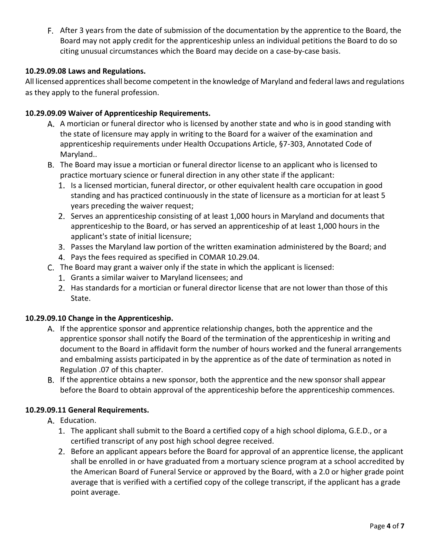After 3 years from the date of submission of the documentation by the apprentice to the Board, the Board may not apply credit for the apprenticeship unless an individual petitions the Board to do so citing unusual circumstances which the Board may decide on a case-by-case basis.

## **10.29.09.08 Laws and Regulations.**

All licensed apprentices shall become competent in the knowledge of Maryland and federal laws and regulations as they apply to the funeral profession.

### **10.29.09.09 Waiver of Apprenticeship Requirements.**

- A. A mortician or funeral director who is licensed by another state and who is in good standing with the state of licensure may apply in writing to the Board for a waiver of the examination and apprenticeship requirements under Health Occupations Article, §7-303, Annotated Code of Maryland..
- The Board may issue a mortician or funeral director license to an applicant who is licensed to practice mortuary science or funeral direction in any other state if the applicant:
	- 1. Is a licensed mortician, funeral director, or other equivalent health care occupation in good standing and has practiced continuously in the state of licensure as a mortician for at least 5 years preceding the waiver request;
	- 2. Serves an apprenticeship consisting of at least 1,000 hours in Maryland and documents that apprenticeship to the Board, or has served an apprenticeship of at least 1,000 hours in the applicant's state of initial licensure;
	- Passes the Maryland law portion of the written examination administered by the Board; and
	- 4. Pays the fees required as specified in COMAR 10.29.04.
- The Board may grant a waiver only if the state in which the applicant is licensed:
	- 1. Grants a similar waiver to Maryland licensees; and
	- 2. Has standards for a mortician or funeral director license that are not lower than those of this State.

### **10.29.09.10 Change in the Apprenticeship.**

- If the apprentice sponsor and apprentice relationship changes, both the apprentice and the apprentice sponsor shall notify the Board of the termination of the apprenticeship in writing and document to the Board in affidavit form the number of hours worked and the funeral arrangements and embalming assists participated in by the apprentice as of the date of termination as noted in Regulation .07 of this chapter.
- B. If the apprentice obtains a new sponsor, both the apprentice and the new sponsor shall appear before the Board to obtain approval of the apprenticeship before the apprenticeship commences.

### **10.29.09.11 General Requirements.**

- A. Education.
	- The applicant shall submit to the Board a certified copy of a high school diploma, G.E.D., or a certified transcript of any post high school degree received.
	- 2. Before an applicant appears before the Board for approval of an apprentice license, the applicant shall be enrolled in or have graduated from a mortuary science program at a school accredited by the American Board of Funeral Service or approved by the Board, with a 2.0 or higher grade point average that is verified with a certified copy of the college transcript, if the applicant has a grade point average.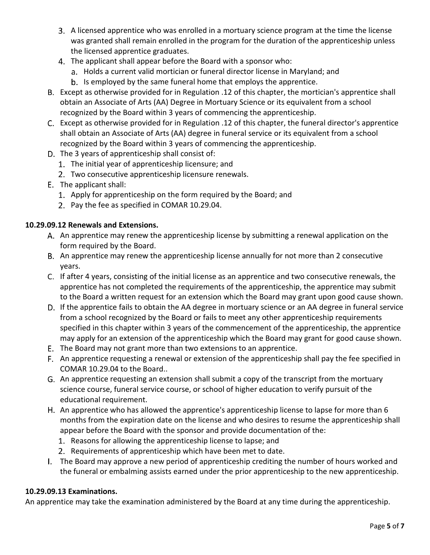- A licensed apprentice who was enrolled in a mortuary science program at the time the license was granted shall remain enrolled in the program for the duration of the apprenticeship unless the licensed apprentice graduates.
- The applicant shall appear before the Board with a sponsor who:
	- a. Holds a current valid mortician or funeral director license in Maryland; and
	- b. Is employed by the same funeral home that employs the apprentice.
- Except as otherwise provided for in Regulation .12 of this chapter, the mortician's apprentice shall obtain an Associate of Arts (AA) Degree in Mortuary Science or its equivalent from a school recognized by the Board within 3 years of commencing the apprenticeship.
- Except as otherwise provided for in Regulation .12 of this chapter, the funeral director's apprentice shall obtain an Associate of Arts (AA) degree in funeral service or its equivalent from a school recognized by the Board within 3 years of commencing the apprenticeship.
- D. The 3 years of apprenticeship shall consist of:
	- 1. The initial year of apprenticeship licensure; and
	- Two consecutive apprenticeship licensure renewals.
- The applicant shall:
	- 1. Apply for apprenticeship on the form required by the Board; and
	- 2. Pay the fee as specified in COMAR 10.29.04.

# **10.29.09.12 Renewals and Extensions.**

- A. An apprentice may renew the apprenticeship license by submitting a renewal application on the form required by the Board.
- B. An apprentice may renew the apprenticeship license annually for not more than 2 consecutive years.
- C. If after 4 years, consisting of the initial license as an apprentice and two consecutive renewals, the apprentice has not completed the requirements of the apprenticeship, the apprentice may submit to the Board a written request for an extension which the Board may grant upon good cause shown.
- D. If the apprentice fails to obtain the AA degree in mortuary science or an AA degree in funeral service from a school recognized by the Board or fails to meet any other apprenticeship requirements specified in this chapter within 3 years of the commencement of the apprenticeship, the apprentice may apply for an extension of the apprenticeship which the Board may grant for good cause shown.
- The Board may not grant more than two extensions to an apprentice.
- F. An apprentice requesting a renewal or extension of the apprenticeship shall pay the fee specified in COMAR 10.29.04 to the Board..
- G. An apprentice requesting an extension shall submit a copy of the transcript from the mortuary science course, funeral service course, or school of higher education to verify pursuit of the educational requirement.
- H. An apprentice who has allowed the apprentice's apprenticeship license to lapse for more than 6 months from the expiration date on the license and who desires to resume the apprenticeship shall appear before the Board with the sponsor and provide documentation of the:
	- 1. Reasons for allowing the apprenticeship license to lapse; and
	- 2. Requirements of apprenticeship which have been met to date.
- The Board may approve a new period of apprenticeship crediting the number of hours worked and the funeral or embalming assists earned under the prior apprenticeship to the new apprenticeship.

# **10.29.09.13 Examinations.**

An apprentice may take the examination administered by the Board at any time during the apprenticeship.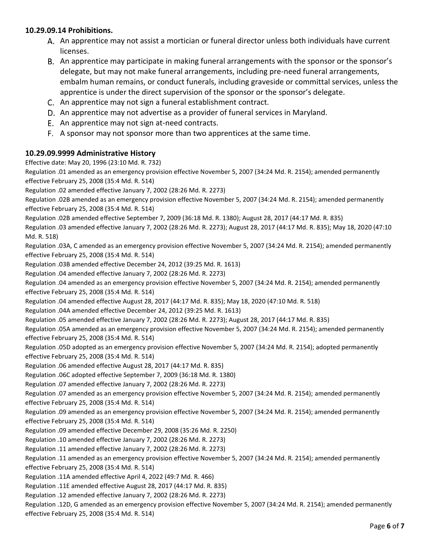#### **10.29.09.14 Prohibitions.**

- An apprentice may not assist a mortician or funeral director unless both individuals have current licenses.
- An apprentice may participate in making funeral arrangements with the sponsor or the sponsor's delegate, but may not make funeral arrangements, including pre-need funeral arrangements, embalm human remains, or conduct funerals, including graveside or committal services, unless the apprentice is under the direct supervision of the sponsor or the sponsor's delegate.
- C. An apprentice may not sign a funeral establishment contract.
- D. An apprentice may not advertise as a provider of funeral services in Maryland.
- E. An apprentice may not sign at-need contracts.
- A sponsor may not sponsor more than two apprentices at the same time.

#### **10.29.09.9999 Administrative History**

Effective date: May 20, 1996 (23:10 Md. R. 732)

Regulation .01 amended as an emergency provision effective November 5, 2007 (34:24 Md. R. 2154); amended permanently effective February 25, 2008 (35:4 Md. R. 514)

Regulation .02 amended effective January 7, 2002 (28:26 Md. R. 2273)

Regulation .02B amended as an emergency provision effective November 5, 2007 (34:24 Md. R. 2154); amended permanently effective February 25, 2008 (35:4 Md. R. 514)

Regulation .02B amended effective September 7, 2009 (36:18 Md. R. 1380); August 28, 2017 (44:17 Md. R. 835)

Regulation .03 amended effective January 7, 2002 (28:26 Md. R. 2273); August 28, 2017 (44:17 Md. R. 835); May 18, 2020 (47:10 Md. R. 518)

Regulation .03A, C amended as an emergency provision effective November 5, 2007 (34:24 Md. R. 2154); amended permanently effective February 25, 2008 (35:4 Md. R. 514)

Regulation .03B amended effective December 24, 2012 (39:25 Md. R. 1613)

Regulation .04 amended effective January 7, 2002 (28:26 Md. R. 2273)

Regulation .04 amended as an emergency provision effective November 5, 2007 (34:24 Md. R. 2154); amended permanently effective February 25, 2008 (35:4 Md. R. 514)

Regulation .04 amended effective August 28, 2017 (44:17 Md. R. 835); May 18, 2020 (47:10 Md. R. 518)

Regulation .04A amended effective December 24, 2012 (39:25 Md. R. 1613)

Regulation .05 amended effective January 7, 2002 (28:26 Md. R. 2273); August 28, 2017 (44:17 Md. R. 835)

Regulation .05A amended as an emergency provision effective November 5, 2007 (34:24 Md. R. 2154); amended permanently effective February 25, 2008 (35:4 Md. R. 514)

Regulation .05D adopted as an emergency provision effective November 5, 2007 (34:24 Md. R. 2154); adopted permanently effective February 25, 2008 (35:4 Md. R. 514)

Regulation .06 amended effective August 28, 2017 (44:17 Md. R. 835)

Regulation .06C adopted effective September 7, 2009 (36:18 Md. R. 1380)

Regulation .07 amended effective January 7, 2002 (28:26 Md. R. 2273)

Regulation .07 amended as an emergency provision effective November 5, 2007 (34:24 Md. R. 2154); amended permanently effective February 25, 2008 (35:4 Md. R. 514)

Regulation .09 amended as an emergency provision effective November 5, 2007 (34:24 Md. R. 2154); amended permanently effective February 25, 2008 (35:4 Md. R. 514)

Regulation .09 amended effective December 29, 2008 (35:26 Md. R. 2250)

Regulation .10 amended effective January 7, 2002 (28:26 Md. R. 2273)

Regulation .11 amended effective January 7, 2002 (28:26 Md. R. 2273)

Regulation .11 amended as an emergency provision effective November 5, 2007 (34:24 Md. R. 2154); amended permanently effective February 25, 2008 (35:4 Md. R. 514)

Regulation .11A amended effective April 4, 2022 (49:7 Md. R. 466)

Regulation .11E amended effective August 28, 2017 (44:17 Md. R. 835)

Regulation .12 amended effective January 7, 2002 (28:26 Md. R. 2273)

Regulation .12D, G amended as an emergency provision effective November 5, 2007 (34:24 Md. R. 2154); amended permanently effective February 25, 2008 (35:4 Md. R. 514)